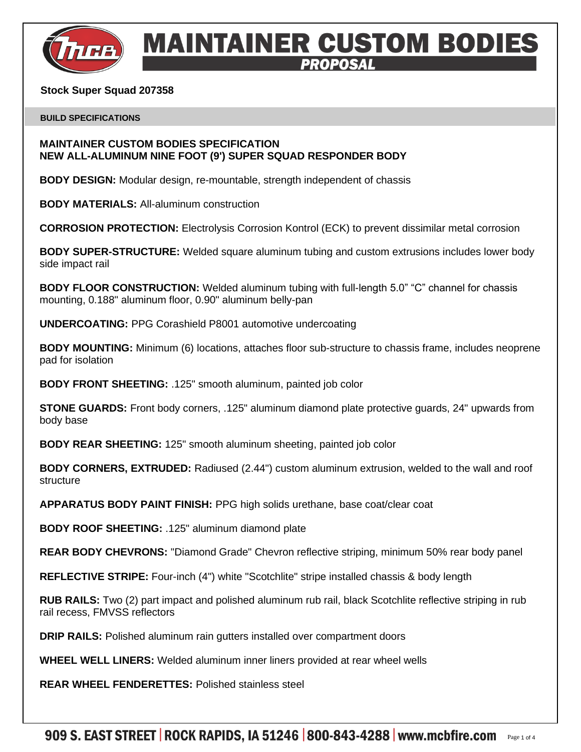

# **MAINTAINER CUSTOM BODIES**

## **Stock Super Squad 207358**

#### **BUILD SPECIFICATIONS**

## **MAINTAINER CUSTOM BODIES SPECIFICATION NEW ALL-ALUMINUM NINE FOOT (9') SUPER SQUAD RESPONDER BODY**

**BODY DESIGN:** Modular design, re-mountable, strength independent of chassis

**BODY MATERIALS:** All-aluminum construction

**CORROSION PROTECTION:** Electrolysis Corrosion Kontrol (ECK) to prevent dissimilar metal corrosion

**BODY SUPER-STRUCTURE:** Welded square aluminum tubing and custom extrusions includes lower body side impact rail

**BODY FLOOR CONSTRUCTION:** Welded aluminum tubing with full-length 5.0" "C" channel for chassis mounting, 0.188" aluminum floor, 0.90" aluminum belly-pan

**UNDERCOATING:** PPG Corashield P8001 automotive undercoating

**BODY MOUNTING:** Minimum (6) locations, attaches floor sub-structure to chassis frame, includes neoprene pad for isolation

**BODY FRONT SHEETING:** .125" smooth aluminum, painted job color

**STONE GUARDS:** Front body corners, .125" aluminum diamond plate protective guards, 24" upwards from body base

**BODY REAR SHEETING:** 125" smooth aluminum sheeting, painted job color

**BODY CORNERS, EXTRUDED:** Radiused (2.44") custom aluminum extrusion, welded to the wall and roof structure

**APPARATUS BODY PAINT FINISH:** PPG high solids urethane, base coat/clear coat

**BODY ROOF SHEETING:** .125" aluminum diamond plate

**REAR BODY CHEVRONS:** "Diamond Grade" Chevron reflective striping, minimum 50% rear body panel

**REFLECTIVE STRIPE:** Four-inch (4") white "Scotchlite" stripe installed chassis & body length

**RUB RAILS:** Two (2) part impact and polished aluminum rub rail, black Scotchlite reflective striping in rub rail recess, FMVSS reflectors

**DRIP RAILS:** Polished aluminum rain gutters installed over compartment doors

**WHEEL WELL LINERS:** Welded aluminum inner liners provided at rear wheel wells

**REAR WHEEL FENDERETTES:** Polished stainless steel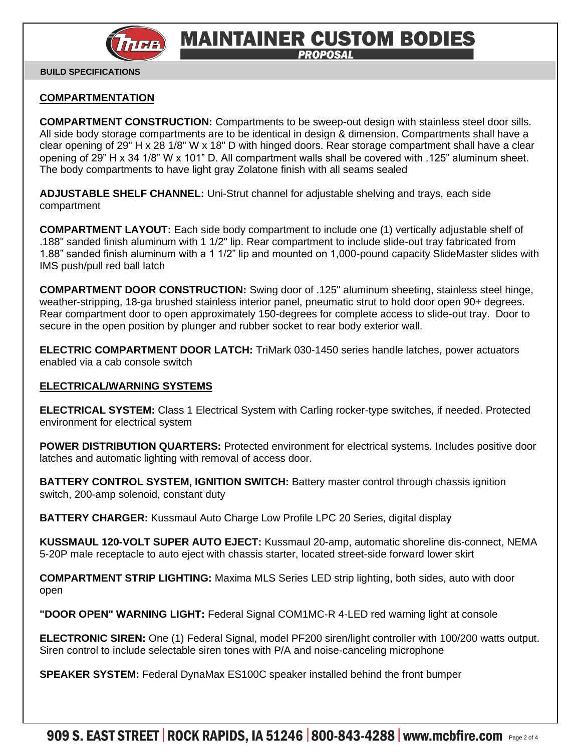

# **MAINTAINER CUSTOM BODIES PROPOSAL**

 **BUILD SPECIFICATIONS**

# **COMPARTMENTATION**

**COMPARTMENT CONSTRUCTION:** Compartments to be sweep-out design with stainless steel door sills. All side body storage compartments are to be identical in design & dimension. Compartments shall have a clear opening of 29" H x 28 1/8" W x 18" D with hinged doors. Rear storage compartment shall have a clear opening of 29" H x 34 1/8" W x 101" D. All compartment walls shall be covered with .125" aluminum sheet. The body compartments to have light gray Zolatone finish with all seams sealed

**ADJUSTABLE SHELF CHANNEL:** Uni-Strut channel for adjustable shelving and trays, each side compartment

**COMPARTMENT LAYOUT:** Each side body compartment to include one (1) vertically adjustable shelf of .188" sanded finish aluminum with 1 1/2" lip. Rear compartment to include slide-out tray fabricated from 1.88" sanded finish aluminum with a 1 1/2" lip and mounted on 1,000-pound capacity SlideMaster slides with IMS push/pull red ball latch

**COMPARTMENT DOOR CONSTRUCTION:** Swing door of .125" aluminum sheeting, stainless steel hinge, weather-stripping, 18-ga brushed stainless interior panel, pneumatic strut to hold door open 90+ degrees. Rear compartment door to open approximately 150-degrees for complete access to slide-out tray. Door to secure in the open position by plunger and rubber socket to rear body exterior wall.

**ELECTRIC COMPARTMENT DOOR LATCH:** TriMark 030-1450 series handle latches, power actuators enabled via a cab console switch

## **ELECTRICAL/WARNING SYSTEMS**

**ELECTRICAL SYSTEM:** Class 1 Electrical System with Carling rocker-type switches, if needed. Protected environment for electrical system

**POWER DISTRIBUTION QUARTERS:** Protected environment for electrical systems. Includes positive door latches and automatic lighting with removal of access door.

**BATTERY CONTROL SYSTEM, IGNITION SWITCH:** Battery master control through chassis ignition switch, 200-amp solenoid, constant duty

**BATTERY CHARGER:** Kussmaul Auto Charge Low Profile LPC 20 Series, digital display

**KUSSMAUL 120-VOLT SUPER AUTO EJECT:** Kussmaul 20-amp, automatic shoreline dis-connect, NEMA 5-20P male receptacle to auto eject with chassis starter, located street-side forward lower skirt

**COMPARTMENT STRIP LIGHTING:** Maxima MLS Series LED strip lighting, both sides, auto with door open

**"DOOR OPEN" WARNING LIGHT:** Federal Signal COM1MC-R 4-LED red warning light at console

**ELECTRONIC SIREN:** One (1) Federal Signal, model PF200 siren/light controller with 100/200 watts output. Siren control to include selectable siren tones with P/A and noise-canceling microphone

**SPEAKER SYSTEM:** Federal DynaMax ES100C speaker installed behind the front bumper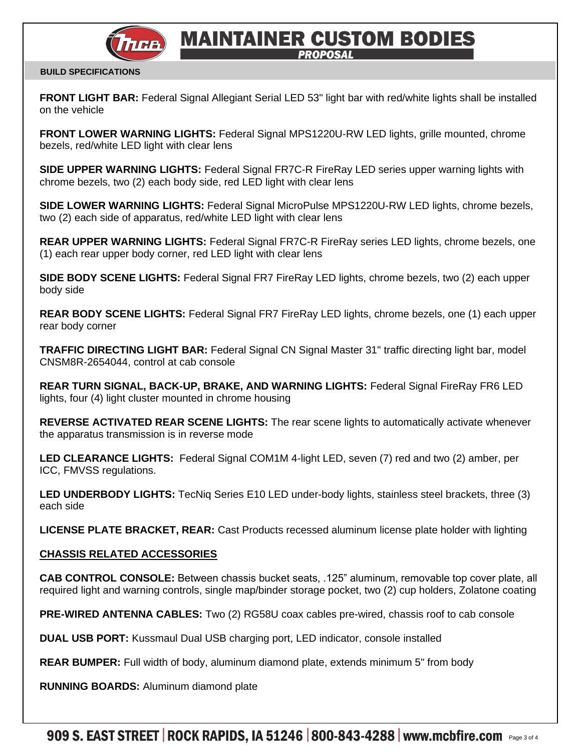

# **MAINTAINER CUSTOM BODIES PROPOSAL**

#### **BUILD SPECIFICATIONS**

**FRONT LIGHT BAR:** Federal Signal Allegiant Serial LED 53" light bar with red/white lights shall be installed on the vehicle

**FRONT LOWER WARNING LIGHTS:** Federal Signal MPS1220U-RW LED lights, grille mounted, chrome bezels, red/white LED light with clear lens

**SIDE UPPER WARNING LIGHTS:** Federal Signal FR7C-R FireRay LED series upper warning lights with chrome bezels, two (2) each body side, red LED light with clear lens

**SIDE LOWER WARNING LIGHTS:** Federal Signal MicroPulse MPS1220U-RW LED lights, chrome bezels, two (2) each side of apparatus, red/white LED light with clear lens

**REAR UPPER WARNING LIGHTS:** Federal Signal FR7C-R FireRay series LED lights, chrome bezels, one (1) each rear upper body corner, red LED light with clear lens

**SIDE BODY SCENE LIGHTS:** Federal Signal FR7 FireRay LED lights, chrome bezels, two (2) each upper body side

**REAR BODY SCENE LIGHTS:** Federal Signal FR7 FireRay LED lights, chrome bezels, one (1) each upper rear body corner

**TRAFFIC DIRECTING LIGHT BAR:** Federal Signal CN Signal Master 31" traffic directing light bar, model CNSM8R-2654044, control at cab console

**REAR TURN SIGNAL, BACK-UP, BRAKE, AND WARNING LIGHTS:** Federal Signal FireRay FR6 LED lights, four (4) light cluster mounted in chrome housing

**REVERSE ACTIVATED REAR SCENE LIGHTS:** The rear scene lights to automatically activate whenever the apparatus transmission is in reverse mode

**LED CLEARANCE LIGHTS:** Federal Signal COM1M 4-light LED, seven (7) red and two (2) amber, per ICC, FMVSS regulations.

**LED UNDERBODY LIGHTS:** TecNiq Series E10 LED under-body lights, stainless steel brackets, three (3) each side

**LICENSE PLATE BRACKET, REAR:** Cast Products recessed aluminum license plate holder with lighting

## **CHASSIS RELATED ACCESSORIES**

**CAB CONTROL CONSOLE:** Between chassis bucket seats, .125" aluminum, removable top cover plate, all required light and warning controls, single map/binder storage pocket, two (2) cup holders, Zolatone coating

**PRE-WIRED ANTENNA CABLES:** Two (2) RG58U coax cables pre-wired, chassis roof to cab console

**DUAL USB PORT:** Kussmaul Dual USB charging port, LED indicator, console installed

**REAR BUMPER:** Full width of body, aluminum diamond plate, extends minimum 5" from body

**RUNNING BOARDS:** Aluminum diamond plate